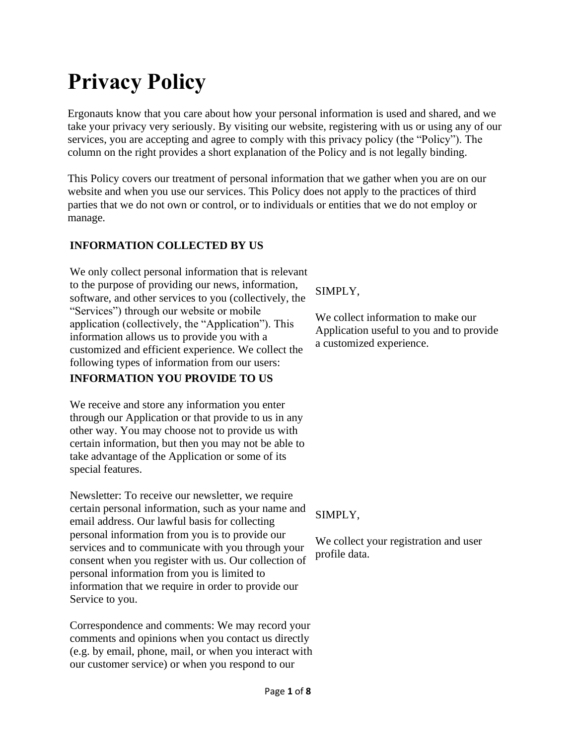# **Privacy Policy**

Ergonauts know that you care about how your personal information is used and shared, and we take your privacy very seriously. By visiting our website, registering with us or using any of our services, you are accepting and agree to comply with this privacy policy (the "Policy"). The column on the right provides a short explanation of the Policy and is not legally binding.

This Policy covers our treatment of personal information that we gather when you are on our website and when you use our services. This Policy does not apply to the practices of third parties that we do not own or control, or to individuals or entities that we do not employ or manage.

# **INFORMATION COLLECTED BY US**

We only collect personal information that is relevant to the purpose of providing our news, information, software, and other services to you (collectively, the "Services") through our website or mobile application (collectively, the "Application"). This information allows us to provide you with a customized and efficient experience. We collect the following types of information from our users: **INFORMATION YOU PROVIDE TO US**

We receive and store any information you enter through our Application or that provide to us in any other way. You may choose not to provide us with certain information, but then you may not be able to take advantage of the Application or some of its special features.

Newsletter: To receive our newsletter, we require certain personal information, such as your name and email address. Our lawful basis for collecting personal information from you is to provide our services and to communicate with you through your consent when you register with us. Our collection of personal information from you is limited to information that we require in order to provide our Service to you.

Correspondence and comments: We may record your comments and opinions when you contact us directly (e.g. by email, phone, mail, or when you interact with our customer service) or when you respond to our

SIMPLY,

We collect information to make our Application useful to you and to provide a customized experience.

SIMPLY,

We collect your registration and user profile data.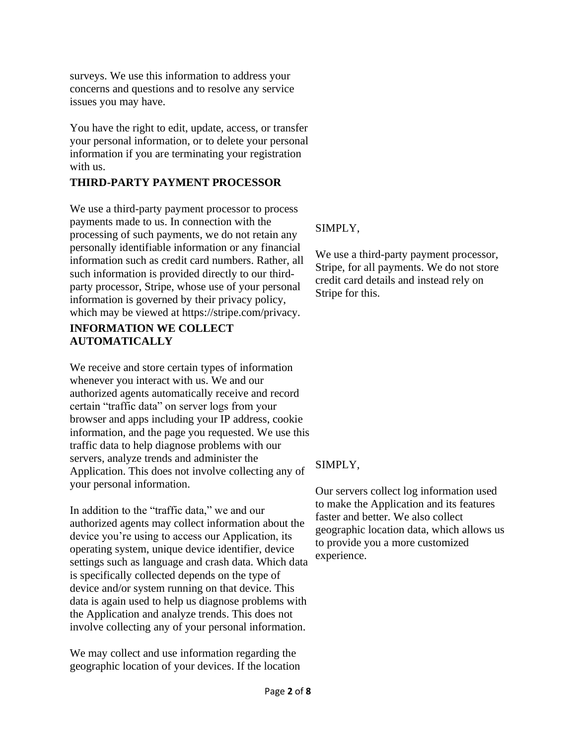surveys. We use this information to address your concerns and questions and to resolve any service issues you may have.

You have the right to edit, update, access, or transfer your personal information, or to delete your personal information if you are terminating your registration with us.

### **THIRD-PARTY PAYMENT PROCESSOR**

We use a third-party payment processor to process payments made to us. In connection with the processing of such payments, we do not retain any personally identifiable information or any financial information such as credit card numbers. Rather, all such information is provided directly to our thirdparty processor, Stripe, whose use of your personal information is governed by their privacy policy, which may be viewed at https://stripe.com/privacy. **INFORMATION WE COLLECT** 

# **AUTOMATICALLY**

We receive and store certain types of information whenever you interact with us. We and our authorized agents automatically receive and record certain "traffic data" on server logs from your browser and apps including your IP address, cookie information, and the page you requested. We use this traffic data to help diagnose problems with our servers, analyze trends and administer the Application. This does not involve collecting any of your personal information.

In addition to the "traffic data," we and our authorized agents may collect information about the device you're using to access our Application, its operating system, unique device identifier, device settings such as language and crash data. Which data is specifically collected depends on the type of device and/or system running on that device. This data is again used to help us diagnose problems with the Application and analyze trends. This does not involve collecting any of your personal information.

We may collect and use information regarding the geographic location of your devices. If the location

# SIMPLY,

We use a third-party payment processor, Stripe, for all payments. We do not store credit card details and instead rely on Stripe for this.

# SIMPLY,

Our servers collect log information used to make the Application and its features faster and better. We also collect geographic location data, which allows us to provide you a more customized experience.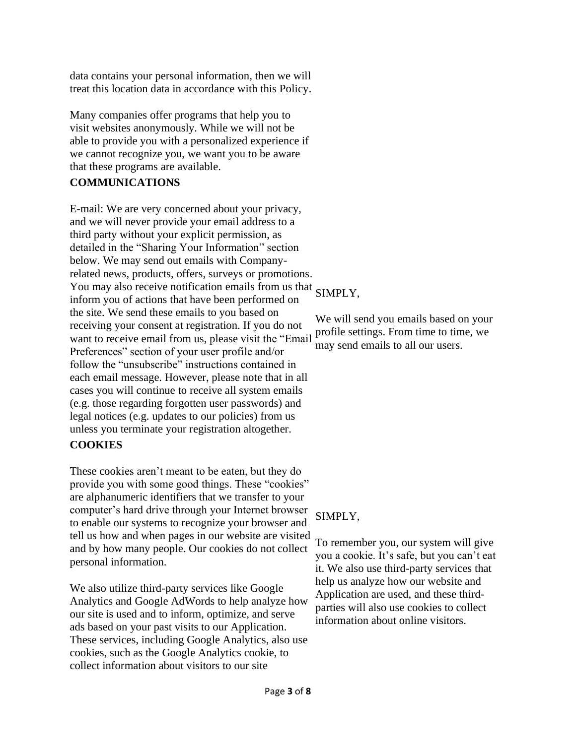data contains your personal information, then we will treat this location data in accordance with this Policy.

Many companies offer programs that help you to visit websites anonymously. While we will not be able to provide you with a personalized experience if we cannot recognize you, we want you to be aware that these programs are available.

# **COMMUNICATIONS**

E-mail: We are very concerned about your privacy, and we will never provide your email address to a third party without your explicit permission, as detailed in the "Sharing Your Information" section below. We may send out emails with Companyrelated news, products, offers, surveys or promotions. You may also receive notification emails from us that SIMPLY, inform you of actions that have been performed on the site. We send these emails to you based on receiving your consent at registration. If you do not want to receive email from us, please visit the "Email Preferences" section of your user profile and/or follow the "unsubscribe" instructions contained in each email message. However, please note that in all cases you will continue to receive all system emails (e.g. those regarding forgotten user passwords) and legal notices (e.g. updates to our policies) from us unless you terminate your registration altogether.

# **COOKIES**

These cookies aren't meant to be eaten, but they do provide you with some good things. These "cookies" are alphanumeric identifiers that we transfer to your computer's hard drive through your Internet browser to enable our systems to recognize your browser and tell us how and when pages in our website are visited and by how many people. Our cookies do not collect personal information.

We also utilize third-party services like Google Analytics and Google AdWords to help analyze how our site is used and to inform, optimize, and serve ads based on your past visits to our Application. These services, including Google Analytics, also use cookies, such as the Google Analytics cookie, to collect information about visitors to our site

We will send you emails based on your profile settings. From time to time, we may send emails to all our users.

# SIMPLY,

To remember you, our system will give you a cookie. It's safe, but you can't eat it. We also use third-party services that help us analyze how our website and Application are used, and these thirdparties will also use cookies to collect information about online visitors.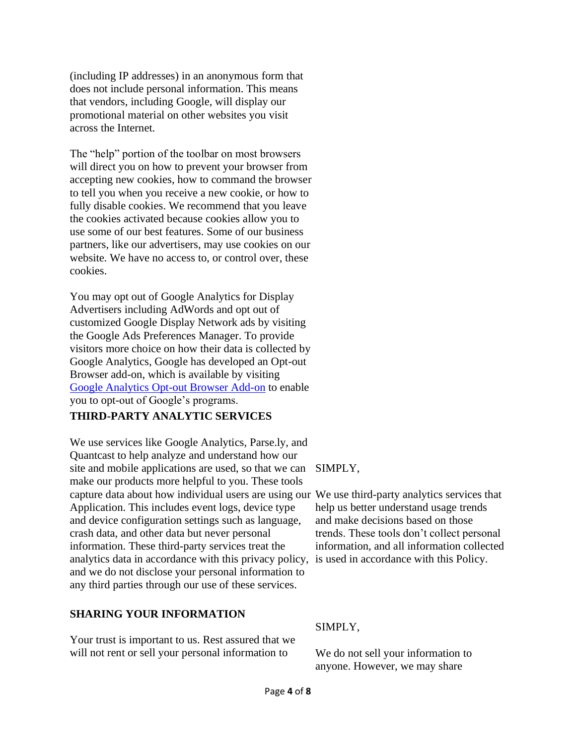(including IP addresses) in an anonymous form that does not include personal information. This means that vendors, including Google, will display our promotional material on other websites you visit across the Internet.

The "help" portion of the toolbar on most browsers will direct you on how to prevent your browser from accepting new cookies, how to command the browser to tell you when you receive a new cookie, or how to fully disable cookies. We recommend that you leave the cookies activated because cookies allow you to use some of our best features. Some of our business partners, like our advertisers, may use cookies on our website. We have no access to, or control over, these cookies.

You may opt out of Google Analytics for Display Advertisers including AdWords and opt out of customized Google Display Network ads by visiting the Google Ads Preferences Manager. To provide visitors more choice on how their data is collected by Google Analytics, Google has developed an Opt-out Browser add-on, which is available by visiting [Google Analytics Opt-out Browser Add-on](https://tools.google.com/dlpage/gaoptout) to enable you to opt-out of Google's programs.

# **THIRD-PARTY ANALYTIC SERVICES**

We use services like Google Analytics, Parse.ly, and Quantcast to help analyze and understand how our site and mobile applications are used, so that we can SIMPLY, make our products more helpful to you. These tools capture data about how individual users are using our We use third-party analytics services that Application. This includes event logs, device type and device configuration settings such as language, crash data, and other data but never personal information. These third-party services treat the analytics data in accordance with this privacy policy, and we do not disclose your personal information to any third parties through our use of these services.

### **SHARING YOUR INFORMATION**

Your trust is important to us. Rest assured that we will not rent or sell your personal information to

help us better understand usage trends and make decisions based on those trends. These tools don't collect personal information, and all information collected is used in accordance with this Policy.

### SIMPLY,

We do not sell your information to anyone. However, we may share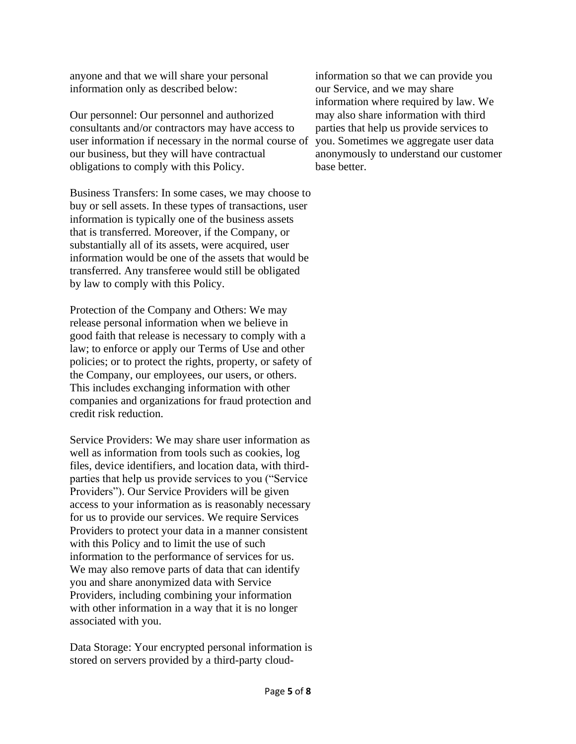anyone and that we will share your personal information only as described below:

Our personnel: Our personnel and authorized consultants and/or contractors may have access to user information if necessary in the normal course of our business, but they will have contractual obligations to comply with this Policy.

Business Transfers: In some cases, we may choose to buy or sell assets. In these types of transactions, user information is typically one of the business assets that is transferred. Moreover, if the Company, or substantially all of its assets, were acquired, user information would be one of the assets that would be transferred. Any transferee would still be obligated by law to comply with this Policy.

Protection of the Company and Others: We may release personal information when we believe in good faith that release is necessary to comply with a law; to enforce or apply our Terms of Use and other policies; or to protect the rights, property, or safety of the Company, our employees, our users, or others. This includes exchanging information with other companies and organizations for fraud protection and credit risk reduction.

Service Providers: We may share user information as well as information from tools such as cookies, log files, device identifiers, and location data, with thirdparties that help us provide services to you ("Service Providers"). Our Service Providers will be given access to your information as is reasonably necessary for us to provide our services. We require Services Providers to protect your data in a manner consistent with this Policy and to limit the use of such information to the performance of services for us. We may also remove parts of data that can identify you and share anonymized data with Service Providers, including combining your information with other information in a way that it is no longer associated with you.

Data Storage: Your encrypted personal information is stored on servers provided by a third-party cloud-

information so that we can provide you our Service, and we may share information where required by law. We may also share information with third parties that help us provide services to you. Sometimes we aggregate user data anonymously to understand our customer base better.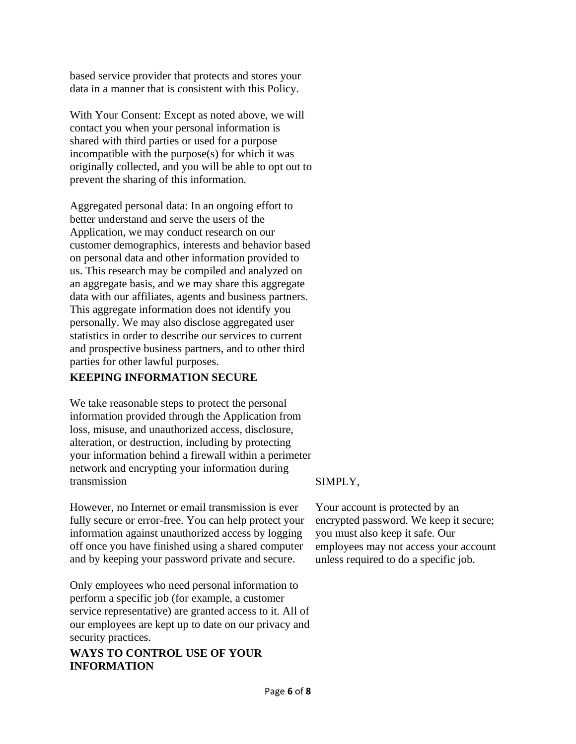based service provider that protects and stores your data in a manner that is consistent with this Policy.

With Your Consent: Except as noted above, we will contact you when your personal information is shared with third parties or used for a purpose incompatible with the purpose(s) for which it was originally collected, and you will be able to opt out to prevent the sharing of this information.

Aggregated personal data: In an ongoing effort to better understand and serve the users of the Application, we may conduct research on our customer demographics, interests and behavior based on personal data and other information provided to us. This research may be compiled and analyzed on an aggregate basis, and we may share this aggregate data with our affiliates, agents and business partners. This aggregate information does not identify you personally. We may also disclose aggregated user statistics in order to describe our services to current and prospective business partners, and to other third parties for other lawful purposes.

# **KEEPING INFORMATION SECURE**

We take reasonable steps to protect the personal information provided through the Application from loss, misuse, and unauthorized access, disclosure, alteration, or destruction, including by protecting your information behind a firewall within a perimeter network and encrypting your information during transmission

However, no Internet or email transmission is ever fully secure or error-free. You can help protect your information against unauthorized access by logging off once you have finished using a shared computer and by keeping your password private and secure.

Only employees who need personal information to perform a specific job (for example, a customer service representative) are granted access to it. All of our employees are kept up to date on our privacy and security practices.

# **WAYS TO CONTROL USE OF YOUR INFORMATION**

# SIMPLY,

Your account is protected by an encrypted password. We keep it secure; you must also keep it safe. Our employees may not access your account unless required to do a specific job.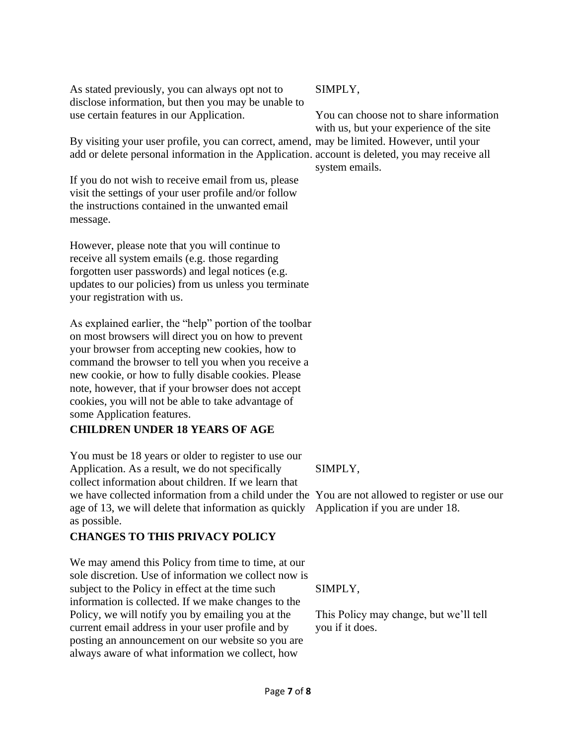As stated previously, you can always opt not to disclose information, but then you may be unable to use certain features in our Application.

By visiting your user profile, you can correct, amend, may be limited. However, until your add or delete personal information in the Application. account is deleted, you may receive all

If you do not wish to receive email from us, please visit the settings of your user profile and/or follow the instructions contained in the unwanted email message.

However, please note that you will continue to receive all system emails (e.g. those regarding forgotten user passwords) and legal notices (e.g. updates to our policies) from us unless you terminate your registration with us.

As explained earlier, the "help" portion of the toolbar on most browsers will direct you on how to prevent your browser from accepting new cookies, how to command the browser to tell you when you receive a new cookie, or how to fully disable cookies. Please note, however, that if your browser does not accept cookies, you will not be able to take advantage of some Application features.

# **CHILDREN UNDER 18 YEARS OF AGE**

You must be 18 years or older to register to use our Application. As a result, we do not specifically collect information about children. If we learn that we have collected information from a child under the You are not allowed to register or use our age of 13, we will delete that information as quickly as possible.

# **CHANGES TO THIS PRIVACY POLICY**

We may amend this Policy from time to time, at our sole discretion. Use of information we collect now is subject to the Policy in effect at the time such information is collected. If we make changes to the Policy, we will notify you by emailing you at the current email address in your user profile and by posting an announcement on our website so you are always aware of what information we collect, how

### SIMPLY,

You can choose not to share information with us, but your experience of the site system emails.

# SIMPLY,

Application if you are under 18.

SIMPLY,

This Policy may change, but we'll tell you if it does.